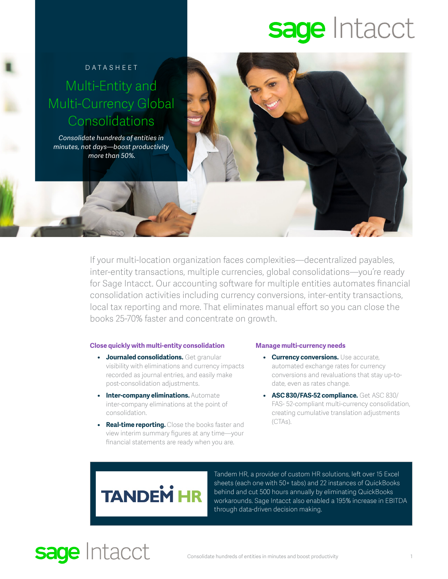# sage Intacct

### Datasheet Multi-Entity and Multi-Currency Global Consolidations

*Consolidate hundreds of entities in minutes, not days—boost productivity more than 50%.* 

> If your multi-location organization faces complexities—decentralized payables, inter-entity transactions, multiple currencies, global consolidations—you're ready for Sage Intacct. Our accounting software for multiple entities automates financial consolidation activities including currency conversions, inter-entity transactions, local tax reporting and more. That eliminates manual effort so you can close the books 25-70% faster and concentrate on growth.

#### **Close quickly with multi-entity consolidation**

- **• Journaled consolidations.** Get granular visibility with eliminations and currency impacts recorded as journal entries, and easily make post-consolidation adjustments.
- **• Inter-company eliminations.** Automate inter-company eliminations at the point of consolidation.
- **• Real-time reporting.** Close the books faster and view interim summary figures at any time—your financial statements are ready when you are.

#### **Manage multi-currency needs**

- **• Currency conversions.** Use accurate, automated exchange rates for currency conversions and revaluations that stay up-todate, even as rates change.
- **• ASC 830/FAS-52 compliance.** Get ASC 830/ FAS- 52-compliant multi-currency consolidation, creating cumulative translation adjustments (CTAs).



Tandem HR, a provider of custom HR solutions, left over 15 Excel sheets (each one with 50+ tabs) and 22 instances of QuickBooks behind and cut 500 hours annually by eliminating QuickBooks workarounds. Sage Intacct also enabled a 195% increase in EBITDA through data-driven decision making.

## **sage Intacct**